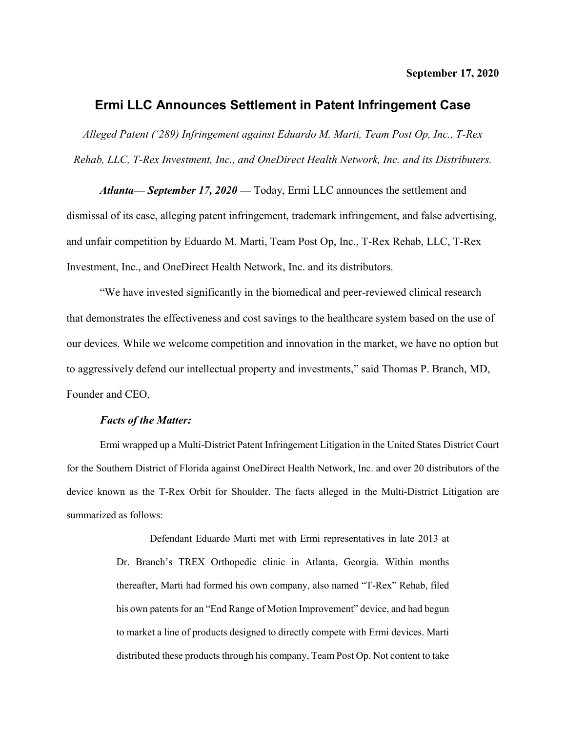## **Ermi LLC Announces Settlement in Patent Infringement Case**

*Alleged Patent ('289) Infringement against Eduardo M. Marti, Team Post Op, Inc., T-Rex Rehab, LLC, T-Rex Investment, Inc., and OneDirect Health Network, Inc. and its Distributers.*

*Atlanta— September 17, 2020 —* Today, Ermi LLC announces the settlement and dismissal of its case, alleging patent infringement, trademark infringement, and false advertising, and unfair competition by Eduardo M. Marti, Team Post Op, Inc., T-Rex Rehab, LLC, T-Rex Investment, Inc., and OneDirect Health Network, Inc. and its distributors.

"We have invested significantly in the biomedical and peer-reviewed clinical research that demonstrates the effectiveness and cost savings to the healthcare system based on the use of our devices. While we welcome competition and innovation in the market, we have no option but to aggressively defend our intellectual property and investments," said Thomas P. Branch, MD, Founder and CEO,

## *Facts of the Matter:*

Ermi wrapped up a Multi-District Patent Infringement Litigation in the United States District Court for the Southern District of Florida against OneDirect Health Network, Inc. and over 20 distributors of the device known as the T-Rex Orbit for Shoulder. The facts alleged in the Multi-District Litigation are summarized as follows:

> Defendant Eduardo Marti met with Ermi representatives in late 2013 at Dr. Branch's TREX Orthopedic clinic in Atlanta, Georgia. Within months thereafter, Marti had formed his own company, also named "T-Rex" Rehab, filed his own patents for an "End Range of Motion Improvement" device, and had begun to market a line of products designed to directly compete with Ermi devices. Marti distributed these products through his company, Team Post Op. Not content to take